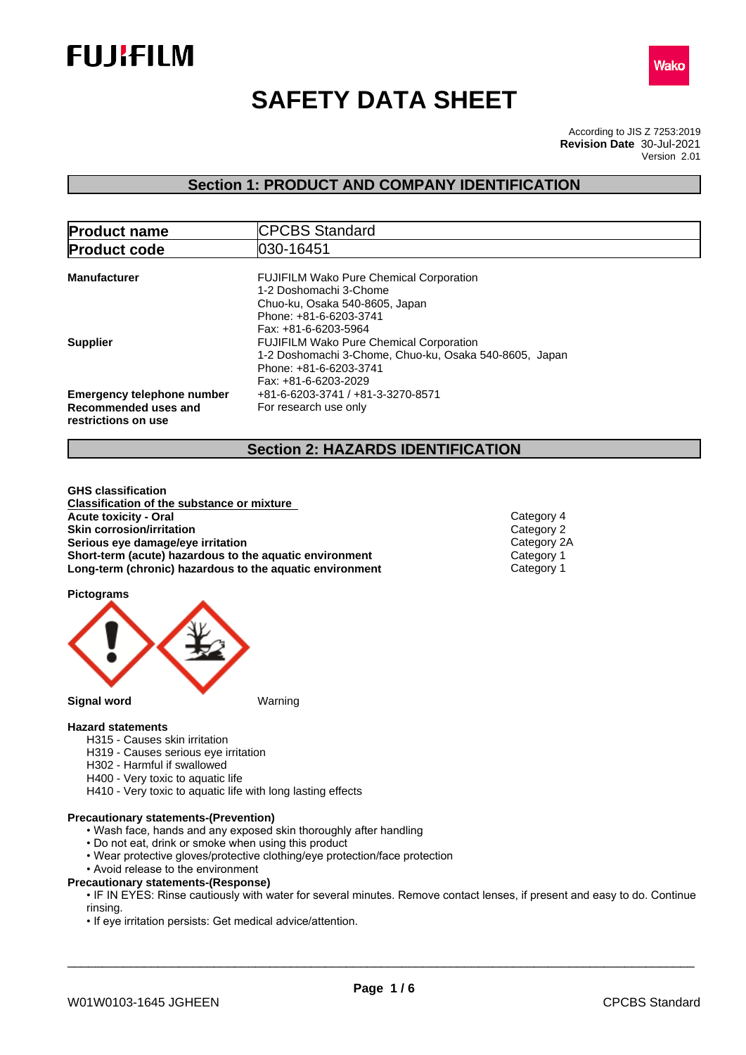



# **SAFETY DATA SHEET**

According to JIS Z 7253:2019 Version 2.01 **Revision Date** 30-Jul-2021

## **Section 1: PRODUCT AND COMPANY IDENTIFICATION**

| <b>Product name</b>                                                              | <b>CPCBS Standard</b>                                                                                                                                        |
|----------------------------------------------------------------------------------|--------------------------------------------------------------------------------------------------------------------------------------------------------------|
| <b>Product code</b>                                                              | 030-16451                                                                                                                                                    |
| <b>Manufacturer</b>                                                              | <b>FUJIFILM Wako Pure Chemical Corporation</b><br>1-2 Doshomachi 3-Chome<br>Chuo-ku, Osaka 540-8605, Japan<br>Phone: +81-6-6203-3741<br>Fax: +81-6-6203-5964 |
| <b>Supplier</b>                                                                  | <b>FUJIFILM Wako Pure Chemical Corporation</b><br>1-2 Doshomachi 3-Chome, Chuo-ku, Osaka 540-8605, Japan<br>Phone: +81-6-6203-3741<br>Fax: +81-6-6203-2029   |
| <b>Emergency telephone number</b><br>Recommended uses and<br>restrictions on use | +81-6-6203-3741 / +81-3-3270-8571<br>For research use only                                                                                                   |

## **Section 2: HAZARDS IDENTIFICATION**

**GHS classification Classification of the substance or mixture Acute toxicity - Oral** Category 4 **Skin corrosion/irritation**<br> **Serious eve damage/eye irritation**<br>
Category 2A **Serious eye damage/eye irritation**<br> **Short-term (acute) hazardous to the aquatic environment** Category 1 **Short-term** (acute) hazardous to the aquatic environment **Long-term (chronic) hazardous to the aquatic environment** Category 1

**Pictograms**



### **Hazard statements**

- H315 Causes skin irritation
- H319 Causes serious eye irritation
- H302 Harmful if swallowed
- H400 Very toxic to aquatic life
- H410 Very toxic to aquatic life with long lasting effects

## **Precautionary statements-(Prevention)**

- Wash face, hands and any exposed skin thoroughly after handling
- Do not eat, drink or smoke when using this product
- Wear protective gloves/protective clothing/eye protection/face protection
- Avoid release to the environment

### **Precautionary statements-(Response)**

• IF IN EYES: Rinse cautiously with water for several minutes. Remove contact lenses, if present and easy to do. Continue rinsing.

• If eye irritation persists: Get medical advice/attention.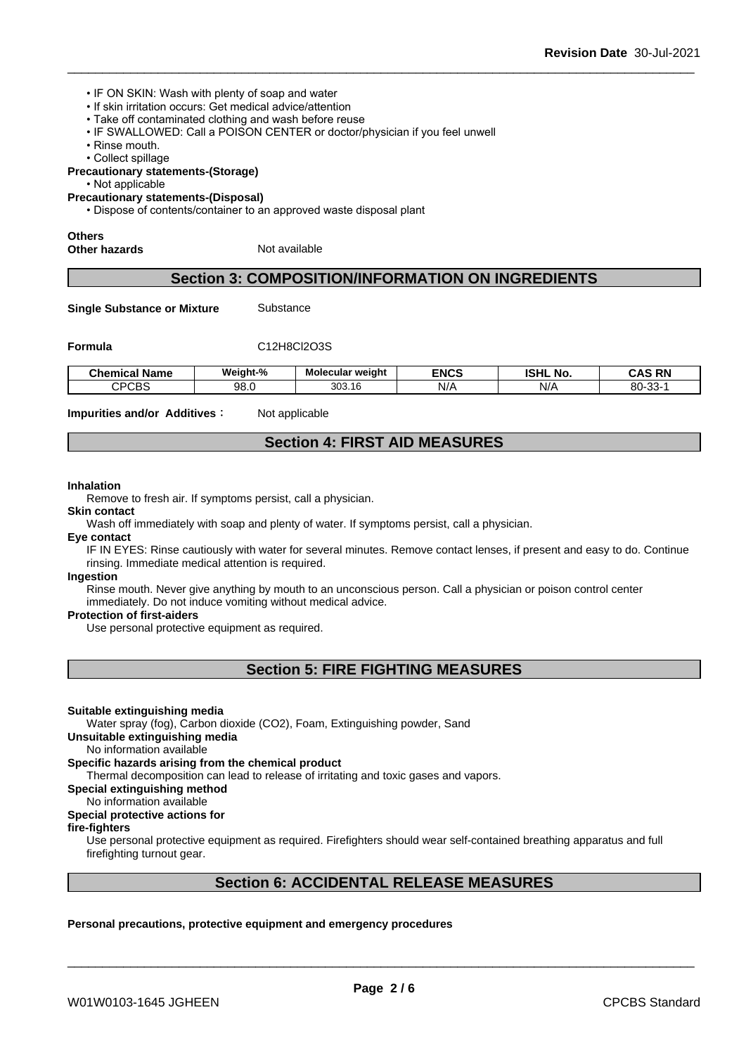- IF ON SKIN: Wash with plenty of soap and water
- If skin irritation occurs: Get medical advice/attention
- Take off contaminated clothing and wash before reuse
- IF SWALLOWED: Call a POISON CENTER or doctor/physician if you feel unwell
- Rinse mouth.
- Collect spillage

#### **Precautionary statements-(Storage)**

- Not applicable
- **Precautionary statements-(Disposal)**

• Dispose of contents/container to an approved waste disposal plant

## **Others**

**Other hazards** Not available

## **Section 3: COMPOSITION/INFORMATION ON INGREDIENTS**

**Single Substance or Mixture** Substance

**Formula** C12H8Cl2O3S

| - -<br>Chemical<br>l Name | Weiaht-%   | Molecular weight | <b>ENCS</b> | <b>ISHL</b><br>No. | <b>RN</b><br>CAS          |
|---------------------------|------------|------------------|-------------|--------------------|---------------------------|
| $\cap$<br>౿⋻౽<br>້        | ΩΩ<br>ອບ.ບ | 303.16           | N/A         | N/                 | $80 -$<br>$\sim$<br>ుు- ` |

**Impurities and/or Additives** : Not applicable

## **Section 4: FIRST AID MEASURES**

#### **Inhalation**

Remove to fresh air. If symptoms persist, call a physician.

#### **Skin contact**

Wash off immediately with soap and plenty of water. If symptoms persist, call a physician.

#### **Eye contact**

IF IN EYES: Rinse cautiously with water for several minutes. Remove contact lenses, if present and easy to do. Continue rinsing. Immediate medical attention is required.

#### **Ingestion**

Rinse mouth. Never give anything by mouth to an unconscious person. Call a physician or poison control center immediately. Do not induce vomiting without medical advice.

#### **Protection of first-aiders**

Use personal protective equipment as required.

## **Section 5: FIRE FIGHTING MEASURES**

#### **Suitable extinguishing media**

Water spray (fog), Carbon dioxide (CO2), Foam, Extinguishing powder, Sand

## **Unsuitable extinguishing media**

No information available

## **Specific hazards arising from the chemical product**

Thermal decomposition can lead to release of irritating and toxic gases and vapors.

**Special extinguishing method**

## No information available

## **Special protective actions for**

## **fire-fighters**

Use personal protective equipment as required.Firefighters should wear self-contained breathing apparatus and full firefighting turnout gear.

## **Section 6: ACCIDENTAL RELEASE MEASURES**

#### **Personal precautions, protective equipment and emergency procedures**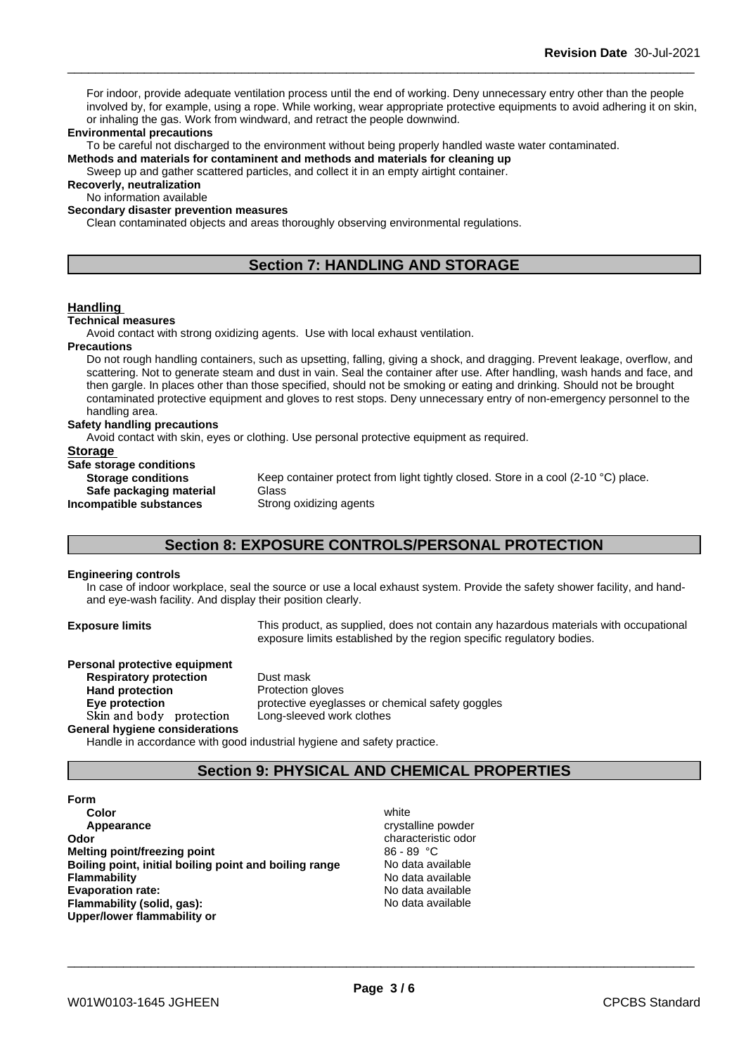For indoor, provide adequate ventilation process until the end of working. Deny unnecessary entry other than the people involved by, for example, using a rope. While working, wear appropriate protective equipments to avoid adhering it on skin, or inhaling the gas. Work from windward, and retract the people downwind.

#### **Environmental precautions**

To be careful not discharged to the environment without being properly handled waste water contaminated.

**Methods and materials for contaminent and methods and materials for cleaning up**

Sweep up and gather scattered particles, and collect it in an empty airtight container.

**Recoverly, neutralization**

No information available

**Secondary disaster prevention measures**

Clean contaminated objects and areas thoroughly observing environmental regulations.

## **Section 7: HANDLING AND STORAGE**

## **Handling**

#### **Technical measures**

Avoid contact with strong oxidizing agents. Use with local exhaust ventilation.

#### **Precautions**

Do not rough handling containers, such as upsetting, falling, giving a shock, and dragging. Prevent leakage, overflow, and scattering. Not to generate steam and dust in vain. Seal the container after use. After handling, wash hands and face, and then gargle. In places other than those specified, should not be smoking or eating and drinking. Should not be brought contaminated protective equipment and gloves to rest stops. Deny unnecessary entry of non-emergency personnel to the handling area.

#### **Safety handling precautions**

Avoid contact with skin, eyes or clothing. Use personal protective equipment as required.

## **Storage**

**Safe storage conditions Safe packaging material** Glass<br>**ompatible substances** Strong oxidizing agents **Incompatible substances** 

**Storage conditions** Keep container protect from light tightly closed. Store in a cool (2-10 °C) place.

## **Section 8: EXPOSURE CONTROLS/PERSONAL PROTECTION**

#### **Engineering controls**

In case of indoor workplace, seal the source or use a local exhaust system. Provide the safety shower facility, and handand eye-wash facility. And display their position clearly.

**Exposure limits** This product, as supplied, does not contain any hazardous materials with occupational exposure limits established by the region specific regulatory bodies.

| Personal protective equipment  |                                                  |
|--------------------------------|--------------------------------------------------|
| <b>Respiratory protection</b>  | Dust mask                                        |
| <b>Hand protection</b>         | Protection gloves                                |
| Eve protection                 | protective eyeglasses or chemical safety goggles |
| Skin and body protection       | Long-sleeved work clothes                        |
| General hygiene considerations |                                                  |

Handle in accordance with good industrial hygiene and safety practice.

## **Section 9: PHYSICAL AND CHEMICAL PROPERTIES**

- **Form Color** white **Color** white **Color** white **Color** white **Color** white **Color Color Color Color Color Color Color Color Color Color Color Color Color Color Color Color Color Color Color Appearance** crystalline powder **Odor Characteristic odor Characteristic odor characteristic odor Melting point/freezing point**<br>**Boiling point, initial boiling point and boiling range** Mo data available **Boiling point, initial boiling point and boiling range Flammability** No data available **Evaporation rate:** No data available **Flammability (solid, gas):** No data available **Upper/lower flammability or**
	-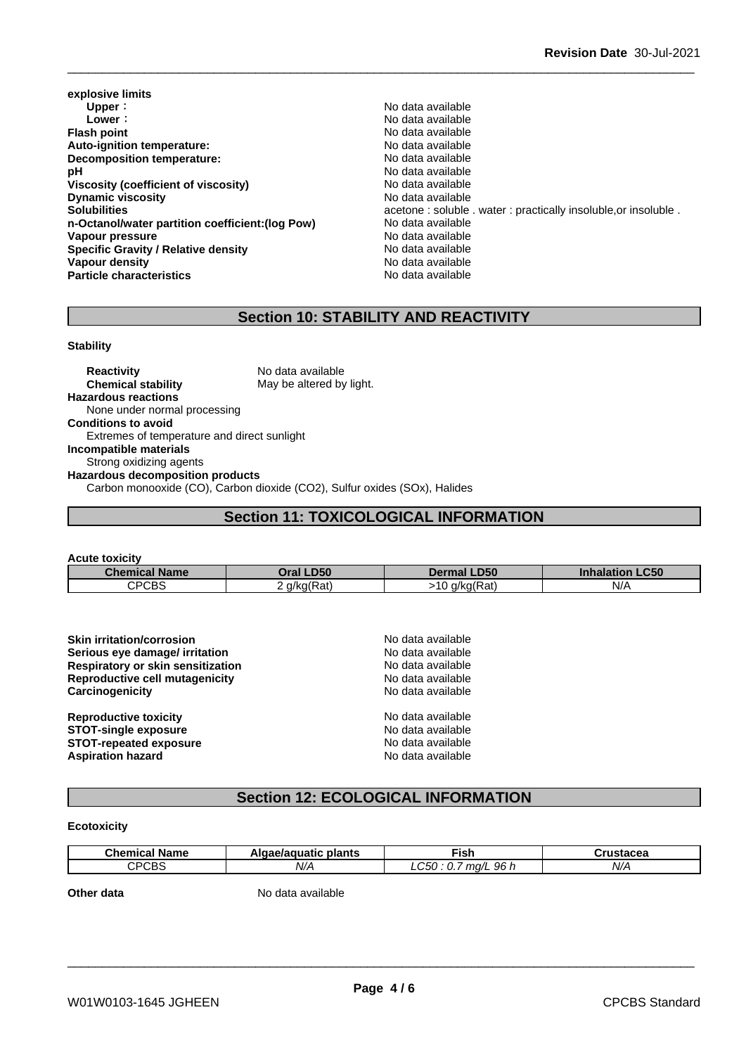- **explosive limits Upper** : the contract of the contract of the contract of the contract of the contract of the contract of the contract of the contract of the contract of the contract of the contract of the contract of the contract of the **Flash point**<br> **Auto-ignition temperature:**<br> **Auto-ignition temperature:**<br> **Auto-ignition temperature: Auto-ignition temperature:**<br> **Decomposition temperature:** No data available<br>
No data available **Decomposition temperature: pH** No data available<br>Viscosity (coefficient of viscosity) No data available **Viscosity** (coefficient of viscosity) **Dynamic viscosity** No data available **n-Octanol/water partition coefficient:(log Pow)** No data available Vapour pressure **No assure** No data available **Specific Gravity / Relative density** No data available **Vapour density No data available Particle characteristics** No data available
- **Lower:** No data available **Solubilities acetone : soluble . water : practically insoluble, or insoluble .**

## **Section 10: STABILITY AND REACTIVITY**

#### **Stability**

**Reactivity** No data available **Chemical stability** May be altered by light. **Hazardous reactions** None under normal processing **Conditions to avoid** Extremes of temperature and direct sunlight **Incompatible materials** Strong oxidizing agents **Hazardous decomposition products** Carbon monooxide (CO), Carbon dioxide (CO2), Sulfur oxides (SOx), Halides

## **Section 11: TOXICOLOGICAL INFORMATION**

| <b>Acute toxicity</b>                                          |                        |
|----------------------------------------------------------------|------------------------|
| <b>Chemical Name</b><br><b>Oral LD50</b><br><b>Dermal LD50</b> | <b>Inhalation LC50</b> |
| <b>CPCBS</b><br>$>10$ g/kg(Rat)<br>2 $g/kg(Rat)$               | N/A                    |

| <b>Skin irritation/corrosion</b>  | No data available |  |
|-----------------------------------|-------------------|--|
| Serious eye damage/ irritation    | No data available |  |
| Respiratory or skin sensitization | No data available |  |
| Reproductive cell mutagenicity    | No data available |  |
| Carcinogenicity                   | No data available |  |
| <b>Reproductive toxicity</b>      | No data available |  |
| <b>STOT-single exposure</b>       | No data available |  |
| <b>STOT-repeated exposure</b>     | No data available |  |
| <b>Aspiration hazard</b>          | No data available |  |

## **Section 12: ECOLOGICAL INFORMATION**

#### **Ecotoxicity**

| Chemical<br><b>Name</b> | plants<br>.<br>. | ∙isr                                              | 1.10100000<br>. |
|-------------------------|------------------|---------------------------------------------------|-----------------|
| CDCDC<br>UDJ.<br>ີ      | . .<br>N//       | ∩⊏∩<br>96 h<br>-<br>$m\alpha$<br>- 700<br>$\cdot$ | N/A             |

**Other data** No data available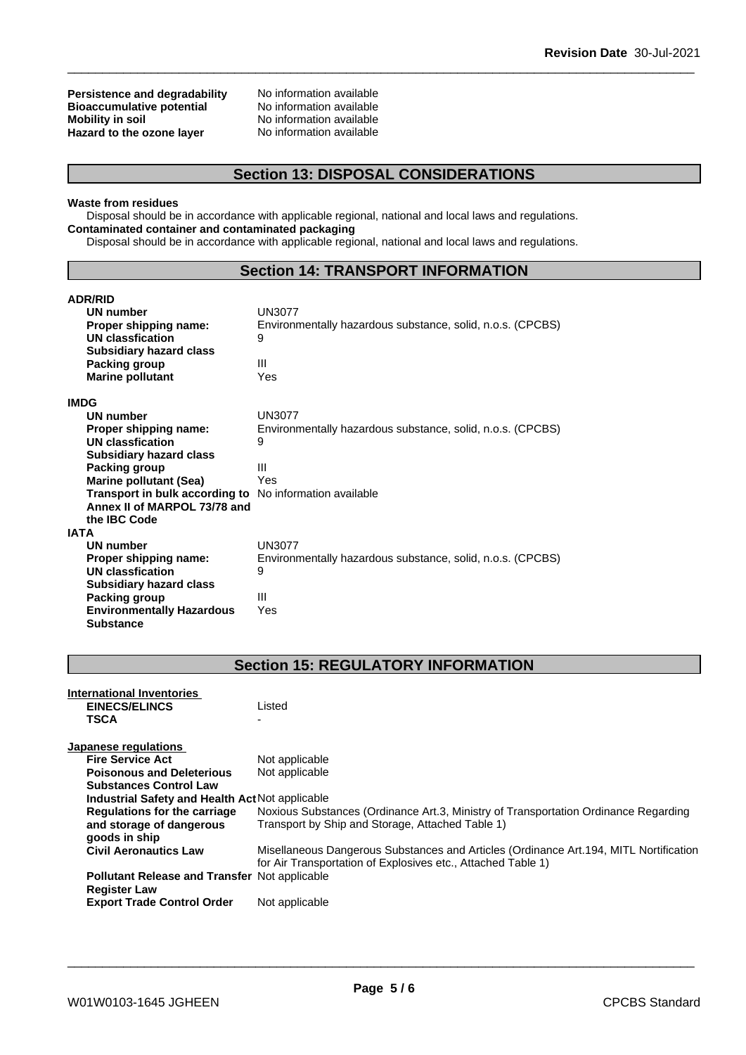**Persistence and degradability** No information available<br>**Bioaccumulative potential** No information available **Bioaccumulative potential<br>Mobility in soil Hazard** to the ozone layer

No information available<br>No information available

## **Section 13: DISPOSAL CONSIDERATIONS**

#### **Waste from residues**

Disposal should be in accordance with applicable regional, national and local laws and regulations. **Contaminated container and contaminated packaging**

Disposal should be in accordance with applicable regional, national and local laws and regulations.

## **Section 14: TRANSPORT INFORMATION**

| <b>ADR/RID</b>                                                 |                                                            |
|----------------------------------------------------------------|------------------------------------------------------------|
| <b>UN number</b>                                               | UN3077                                                     |
| Proper shipping name:                                          | Environmentally hazardous substance, solid, n.o.s. (CPCBS) |
| UN classfication                                               | 9                                                          |
| <b>Subsidiary hazard class</b>                                 |                                                            |
| Packing group                                                  | Ш                                                          |
| <b>Marine pollutant</b>                                        | Yes                                                        |
| <b>IMDG</b>                                                    |                                                            |
| <b>UN number</b>                                               | UN3077                                                     |
| Proper shipping name:                                          | Environmentally hazardous substance, solid, n.o.s. (CPCBS) |
| UN classfication                                               | 9                                                          |
| <b>Subsidiary hazard class</b>                                 |                                                            |
| <b>Packing group</b>                                           | Ш                                                          |
| <b>Marine pollutant (Sea)</b>                                  | Yes                                                        |
| <b>Transport in bulk according to</b> No information available |                                                            |
| Annex II of MARPOL 73/78 and                                   |                                                            |
| the IBC Code                                                   |                                                            |
| <b>IATA</b>                                                    |                                                            |
| <b>UN number</b>                                               | UN3077                                                     |
| Proper shipping name:                                          | Environmentally hazardous substance, solid, n.o.s. (CPCBS) |
| <b>UN classfication</b>                                        | 9                                                          |
| <b>Subsidiary hazard class</b>                                 |                                                            |
| Packing group                                                  | Ш                                                          |
| <b>Environmentally Hazardous</b>                               | Yes                                                        |
| <b>Substance</b>                                               |                                                            |

## **Section 15: REGULATORY INFORMATION**

| International Inventories                            |                                                                                                                                                        |
|------------------------------------------------------|--------------------------------------------------------------------------------------------------------------------------------------------------------|
| <b>EINECS/ELINCS</b>                                 | Listed                                                                                                                                                 |
| <b>TSCA</b>                                          |                                                                                                                                                        |
| Japanese regulations                                 |                                                                                                                                                        |
| <b>Fire Service Act</b>                              | Not applicable                                                                                                                                         |
| <b>Poisonous and Deleterious</b>                     | Not applicable                                                                                                                                         |
| <b>Substances Control Law</b>                        |                                                                                                                                                        |
| Industrial Safety and Health Act Not applicable      |                                                                                                                                                        |
| Regulations for the carriage                         | Noxious Substances (Ordinance Art.3, Ministry of Transportation Ordinance Regarding                                                                    |
| and storage of dangerous<br>goods in ship            | Transport by Ship and Storage, Attached Table 1)                                                                                                       |
| <b>Civil Aeronautics Law</b>                         | Misellaneous Dangerous Substances and Articles (Ordinance Art. 194, MITL Nortification<br>for Air Transportation of Explosives etc., Attached Table 1) |
| <b>Pollutant Release and Transfer Not applicable</b> |                                                                                                                                                        |
| <b>Register Law</b>                                  |                                                                                                                                                        |
| <b>Export Trade Control Order</b>                    | Not applicable                                                                                                                                         |